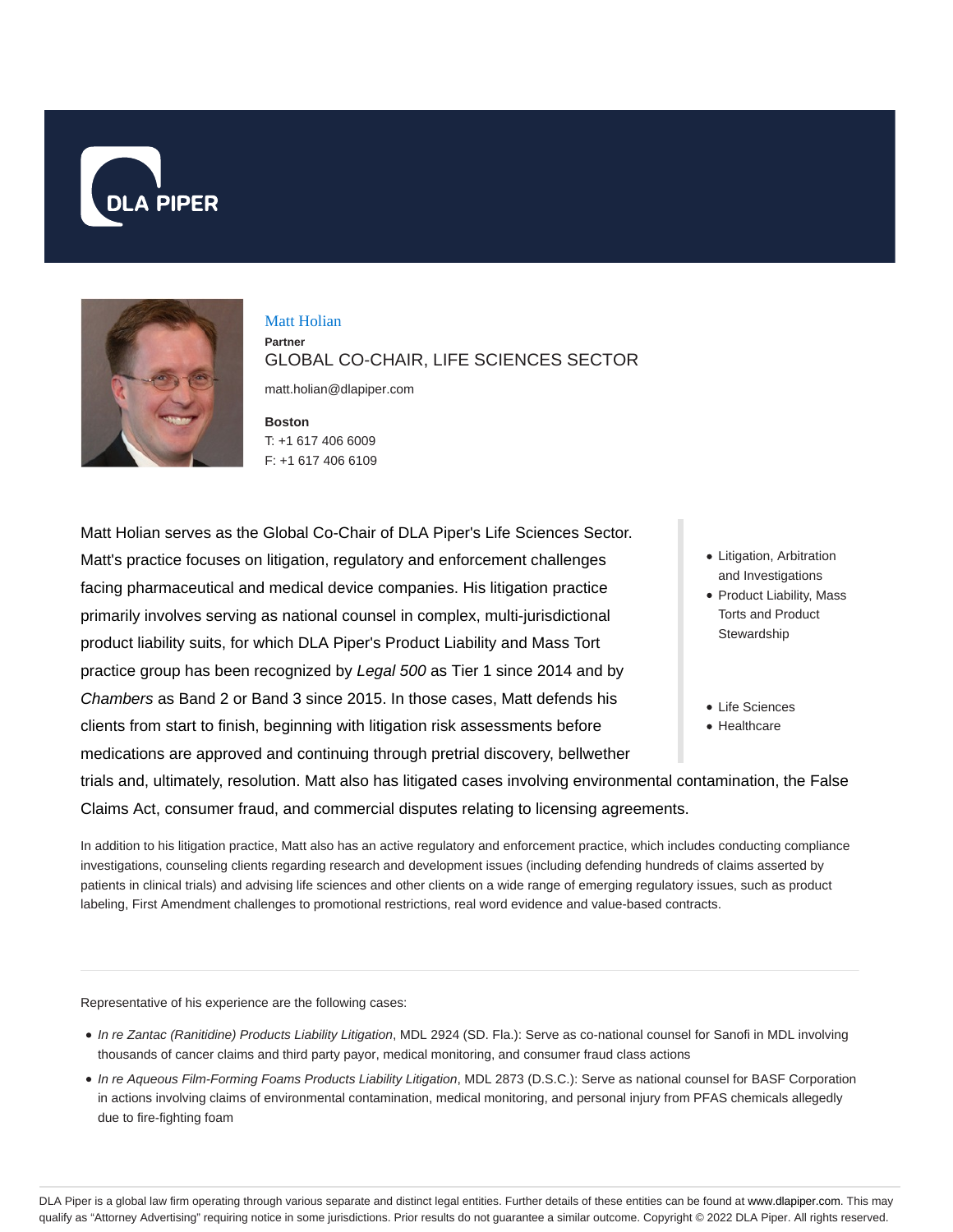



#### Matt Holian **Partner** GLOBAL CO-CHAIR, LIFE SCIENCES SECTOR

matt.holian@dlapiper.com

**Boston** T: +1 617 406 6009 F: +1 617 406 6109

Matt Holian serves as the Global Co-Chair of DLA Piper's Life Sciences Sector. Matt's practice focuses on litigation, regulatory and enforcement challenges facing pharmaceutical and medical device companies. His litigation practice primarily involves serving as national counsel in complex, multi-jurisdictional product liability suits, for which DLA Piper's Product Liability and Mass Tort practice group has been recognized by Legal 500 as Tier 1 since 2014 and by Chambers as Band 2 or Band 3 since 2015. In those cases, Matt defends his clients from start to finish, beginning with litigation risk assessments before medications are approved and continuing through pretrial discovery, bellwether

- Litigation, Arbitration and Investigations
- Product Liability, Mass Torts and Product **Stewardship**
- Life Sciences
- Healthcare

trials and, ultimately, resolution. Matt also has litigated cases involving environmental contamination, the False Claims Act, consumer fraud, and commercial disputes relating to licensing agreements.

In addition to his litigation practice, Matt also has an active regulatory and enforcement practice, which includes conducting compliance investigations, counseling clients regarding research and development issues (including defending hundreds of claims asserted by patients in clinical trials) and advising life sciences and other clients on a wide range of emerging regulatory issues, such as product labeling, First Amendment challenges to promotional restrictions, real word evidence and value-based contracts.

Representative of his experience are the following cases:

- $\bullet$  In re Zantac (Ranitidine) Products Liability Litigation, MDL 2924 (SD. Fla.): Serve as co-national counsel for Sanofi in MDL involving thousands of cancer claims and third party payor, medical monitoring, and consumer fraud class actions
- In re Aqueous Film-Forming Foams Products Liability Litigation, MDL 2873 (D.S.C.): Serve as national counsel for BASF Corporation in actions involving claims of environmental contamination, medical monitoring, and personal injury from PFAS chemicals allegedly due to fire-fighting foam

DLA Piper is a global law firm operating through various separate and distinct legal entities. Further details of these entities can be found at www.dlapiper.com. This may qualify as "Attorney Advertising" requiring notice in some jurisdictions. Prior results do not guarantee a similar outcome. Copyright © 2022 DLA Piper. All rights reserved.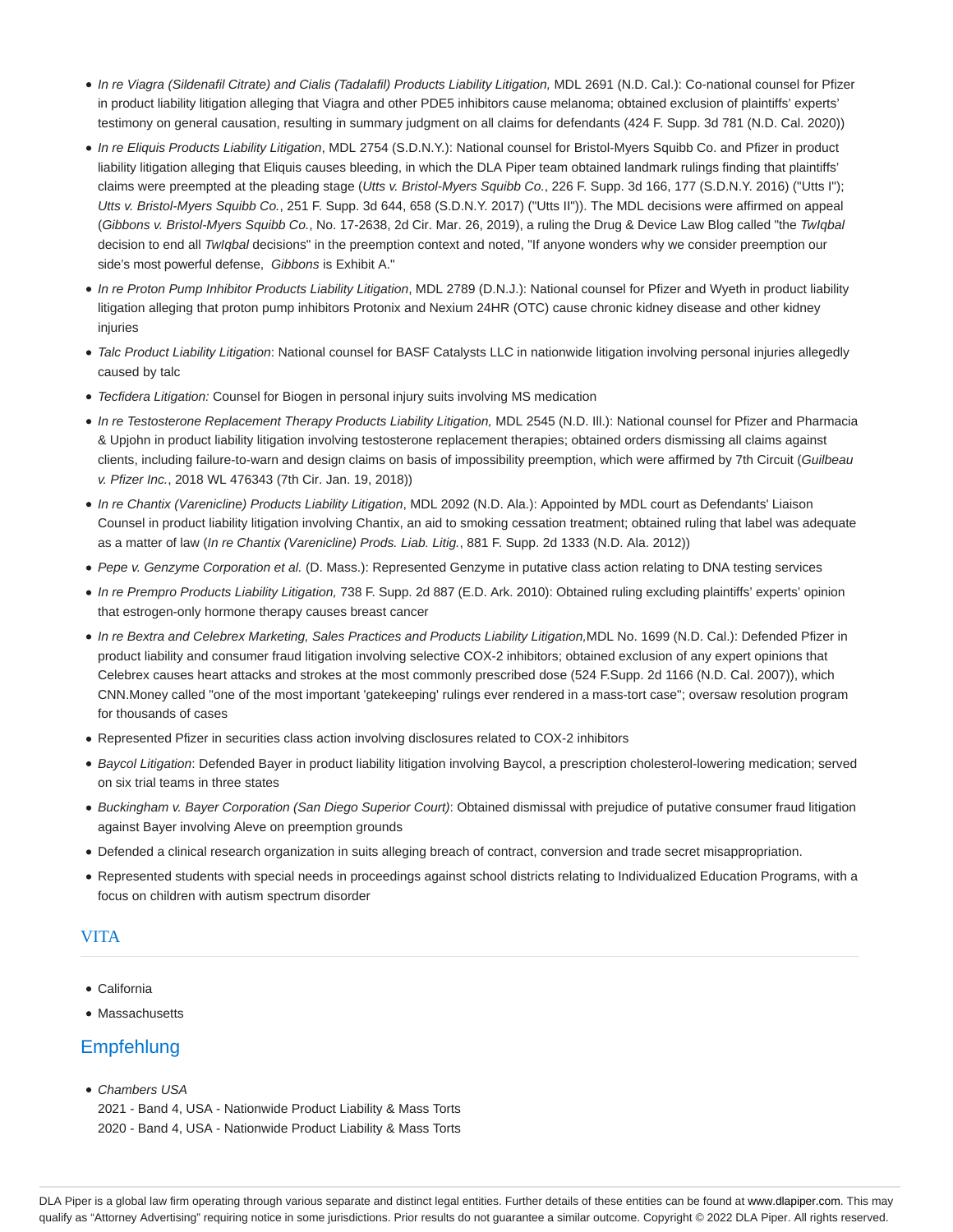- · In re Viagra (Sildenafil Citrate) and Cialis (Tadalafil) Products Liability Litigation, MDL 2691 (N.D. Cal.): Co-national counsel for Pfizer in product liability litigation alleging that Viagra and other PDE5 inhibitors cause melanoma; obtained exclusion of plaintiffs' experts' testimony on general causation, resulting in summary judgment on all claims for defendants (424 F. Supp. 3d 781 (N.D. Cal. 2020))
- In re Eliquis Products Liability Litigation, MDL 2754 (S.D.N.Y.): National counsel for Bristol-Myers Squibb Co. and Pfizer in product liability litigation alleging that Eliquis causes bleeding, in which the DLA Piper team obtained landmark rulings finding that plaintiffs' claims were preempted at the pleading stage (Utts v. Bristol-Myers Squibb Co., 226 F. Supp. 3d 166, 177 (S.D.N.Y. 2016) ("Utts I"); Utts v. Bristol-Myers Squibb Co., 251 F. Supp. 3d 644, 658 (S.D.N.Y. 2017) ("Utts II")). The MDL decisions were affirmed on appeal (Gibbons v. Bristol-Myers Squibb Co., No. 17-2638, 2d Cir. Mar. 26, 2019), a ruling the Drug & Device Law Blog called "the TwIqbal decision to end all TwIqbal decisions" in the preemption context and noted, "If anyone wonders why we consider preemption our side's most powerful defense, Gibbons is Exhibit A."
- In re Proton Pump Inhibitor Products Liability Litigation, MDL 2789 (D.N.J.): National counsel for Pfizer and Wyeth in product liability litigation alleging that proton pump inhibitors Protonix and Nexium 24HR (OTC) cause chronic kidney disease and other kidney injuries
- Talc Product Liability Litigation: National counsel for BASF Catalysts LLC in nationwide litigation involving personal injuries allegedly caused by talc
- Tecfidera Litigation: Counsel for Biogen in personal injury suits involving MS medication
- In re Testosterone Replacement Therapy Products Liability Litigation, MDL 2545 (N.D. Ill.): National counsel for Pfizer and Pharmacia & Upjohn in product liability litigation involving testosterone replacement therapies; obtained orders dismissing all claims against clients, including failure-to-warn and design claims on basis of impossibility preemption, which were affirmed by 7th Circuit (Guilbeau v. Pfizer Inc., 2018 WL 476343 (7th Cir. Jan. 19, 2018))
- In re Chantix (Varenicline) Products Liability Litigation, MDL 2092 (N.D. Ala.): Appointed by MDL court as Defendants' Liaison Counsel in product liability litigation involving Chantix, an aid to smoking cessation treatment; obtained ruling that label was adequate as a matter of law (In re Chantix (Varenicline) Prods. Liab. Litig., 881 F. Supp. 2d 1333 (N.D. Ala. 2012))
- Pepe v. Genzyme Corporation et al. (D. Mass.): Represented Genzyme in putative class action relating to DNA testing services
- In re Prempro Products Liability Litigation, 738 F. Supp. 2d 887 (E.D. Ark. 2010): Obtained ruling excluding plaintiffs' experts' opinion that estrogen-only hormone therapy causes breast cancer
- In re Bextra and Celebrex Marketing, Sales Practices and Products Liability Litigation,MDL No. 1699 (N.D. Cal.): Defended Pfizer in product liability and consumer fraud litigation involving selective COX-2 inhibitors; obtained exclusion of any expert opinions that Celebrex causes heart attacks and strokes at the most commonly prescribed dose (524 F.Supp. 2d 1166 (N.D. Cal. 2007)), which CNN.Money called "one of the most important 'gatekeeping' rulings ever rendered in a mass-tort case"; oversaw resolution program for thousands of cases
- Represented Pfizer in securities class action involving disclosures related to COX-2 inhibitors
- Baycol Litigation: Defended Bayer in product liability litigation involving Baycol, a prescription cholesterol-lowering medication; served on six trial teams in three states
- Buckingham v. Bayer Corporation (San Diego Superior Court): Obtained dismissal with prejudice of putative consumer fraud litigation against Bayer involving Aleve on preemption grounds
- Defended a clinical research organization in suits alleging breach of contract, conversion and trade secret misappropriation.
- Represented students with special needs in proceedings against school districts relating to Individualized Education Programs, with a focus on children with autism spectrum disorder

#### VITA

- California
- Massachusetts

# **Empfehlung**

- Chambers USA
	- 2021 Band 4, USA Nationwide Product Liability & Mass Torts 2020 - Band 4, USA - Nationwide Product Liability & Mass Torts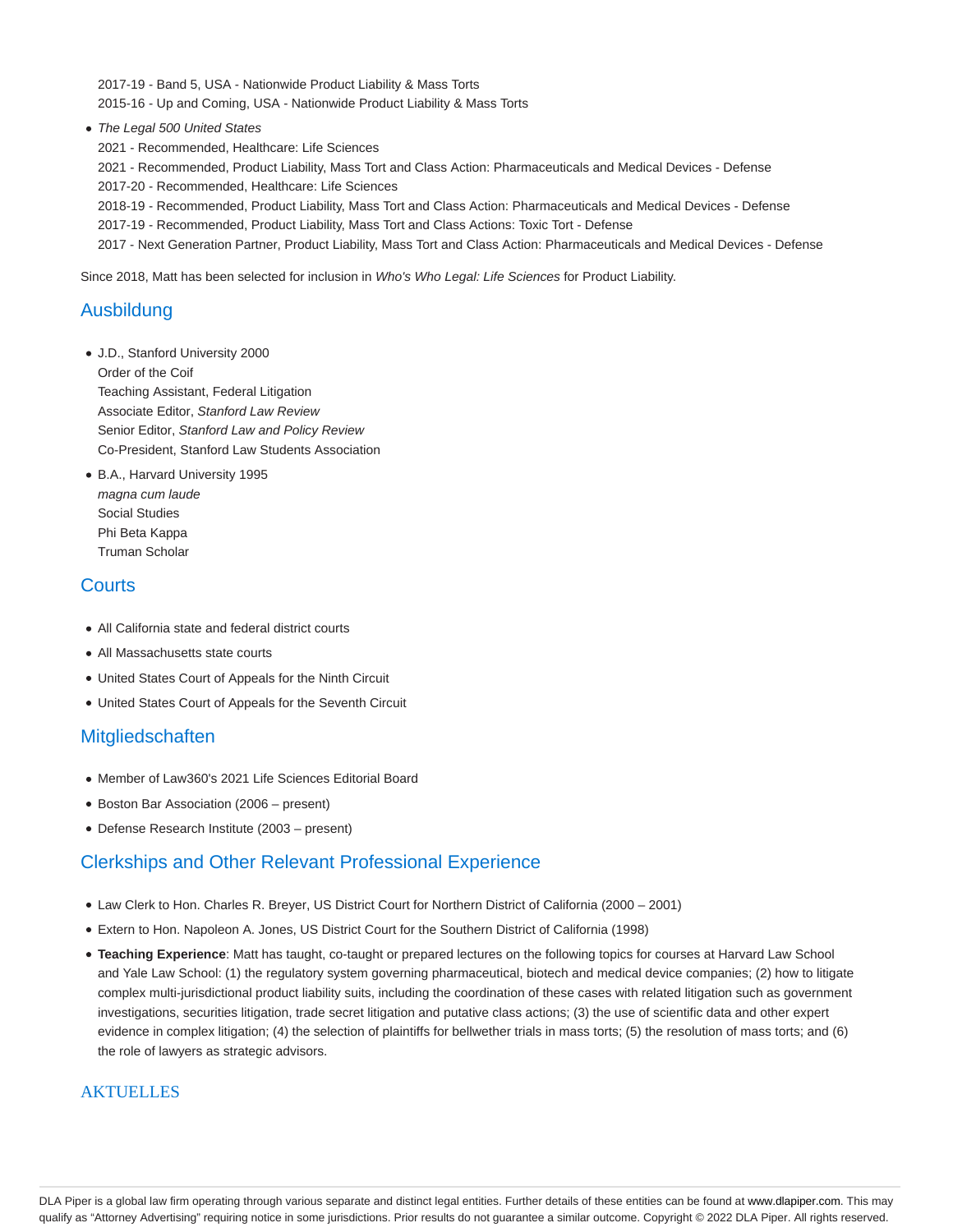2017-19 - Band 5, USA - Nationwide Product Liability & Mass Torts 2015-16 - Up and Coming, USA - Nationwide Product Liability & Mass Torts

• The Legal 500 United States

2021 - Recommended, Healthcare: Life Sciences

2021 - Recommended, Product Liability, Mass Tort and Class Action: Pharmaceuticals and Medical Devices - Defense

2017-20 - Recommended, Healthcare: Life Sciences

2018-19 - Recommended, Product Liability, Mass Tort and Class Action: Pharmaceuticals and Medical Devices - Defense

2017-19 - Recommended, Product Liability, Mass Tort and Class Actions: Toxic Tort - Defense

2017 - Next Generation Partner, Product Liability, Mass Tort and Class Action: Pharmaceuticals and Medical Devices - Defense

Since 2018, Matt has been selected for inclusion in Who's Who Legal: Life Sciences for Product Liability.

## Ausbildung

- J.D., Stanford University 2000 Order of the Coif Teaching Assistant, Federal Litigation Associate Editor, Stanford Law Review Senior Editor, Stanford Law and Policy Review Co-President, Stanford Law Students Association
- B.A., Harvard University 1995 magna cum laude Social Studies Phi Beta Kappa Truman Scholar

## **Courts**

- All California state and federal district courts
- All Massachusetts state courts
- United States Court of Appeals for the Ninth Circuit
- United States Court of Appeals for the Seventh Circuit

## **Mitgliedschaften**

- Member of Law360's 2021 Life Sciences Editorial Board
- Boston Bar Association (2006 present)
- Defense Research Institute (2003 present)

## Clerkships and Other Relevant Professional Experience

- Law Clerk to Hon. Charles R. Breyer, US District Court for Northern District of California (2000 2001)
- Extern to Hon. Napoleon A. Jones, US District Court for the Southern District of California (1998)
- **Teaching Experience**: Matt has taught, co-taught or prepared lectures on the following topics for courses at Harvard Law School and Yale Law School: (1) the regulatory system governing pharmaceutical, biotech and medical device companies; (2) how to litigate complex multi-jurisdictional product liability suits, including the coordination of these cases with related litigation such as government investigations, securities litigation, trade secret litigation and putative class actions; (3) the use of scientific data and other expert evidence in complex litigation; (4) the selection of plaintiffs for bellwether trials in mass torts; (5) the resolution of mass torts; and (6) the role of lawyers as strategic advisors.

#### **AKTUELLES**